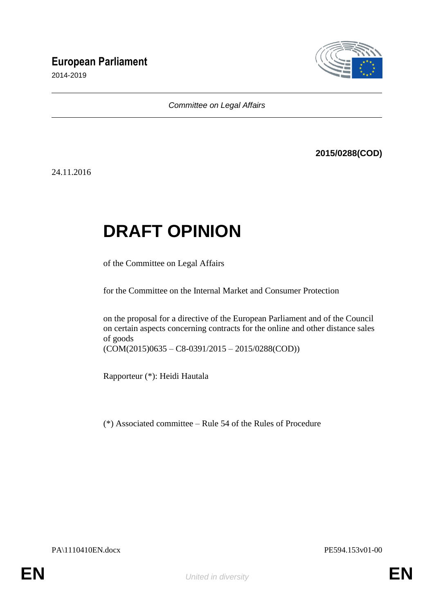# **European Parliament**

2014-2019



*Committee on Legal Affairs*

# **2015/0288(COD)**

24.11.2016

# **DRAFT OPINION**

of the Committee on Legal Affairs

for the Committee on the Internal Market and Consumer Protection

on the proposal for a directive of the European Parliament and of the Council on certain aspects concerning contracts for the online and other distance sales of goods

(COM(2015)0635 – C8-0391/2015 – 2015/0288(COD))

Rapporteur (\*): Heidi Hautala

(\*) Associated committee – Rule 54 of the Rules of Procedure

PA\1110410EN.docx PE594.153v01-00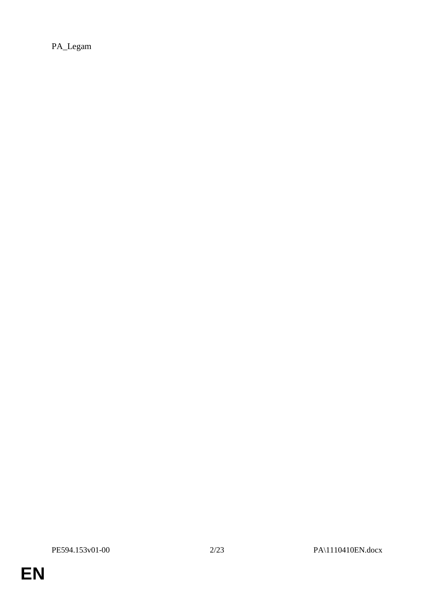PA\_Legam

**EN**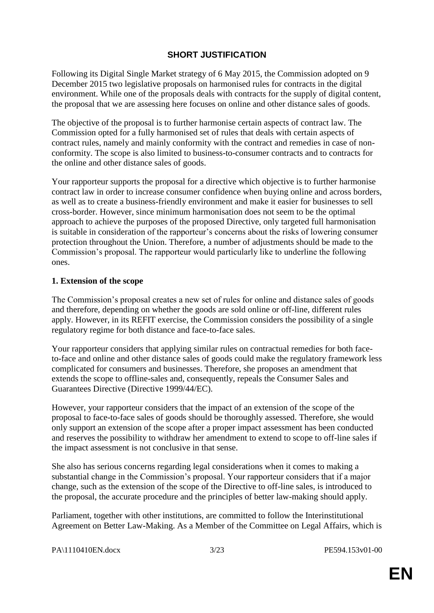# **SHORT JUSTIFICATION**

Following its Digital Single Market strategy of 6 May 2015, the Commission adopted on 9 December 2015 two legislative proposals on harmonised rules for contracts in the digital environment. While one of the proposals deals with contracts for the supply of digital content, the proposal that we are assessing here focuses on online and other distance sales of goods.

The objective of the proposal is to further harmonise certain aspects of contract law. The Commission opted for a fully harmonised set of rules that deals with certain aspects of contract rules, namely and mainly conformity with the contract and remedies in case of nonconformity. The scope is also limited to business-to-consumer contracts and to contracts for the online and other distance sales of goods.

Your rapporteur supports the proposal for a directive which objective is to further harmonise contract law in order to increase consumer confidence when buying online and across borders, as well as to create a business-friendly environment and make it easier for businesses to sell cross-border. However, since minimum harmonisation does not seem to be the optimal approach to achieve the purposes of the proposed Directive, only targeted full harmonisation is suitable in consideration of the rapporteur's concerns about the risks of lowering consumer protection throughout the Union. Therefore, a number of adjustments should be made to the Commission's proposal. The rapporteur would particularly like to underline the following ones.

# **1. Extension of the scope**

The Commission's proposal creates a new set of rules for online and distance sales of goods and therefore, depending on whether the goods are sold online or off-line, different rules apply. However, in its REFIT exercise, the Commission considers the possibility of a single regulatory regime for both distance and face-to-face sales.

Your rapporteur considers that applying similar rules on contractual remedies for both faceto-face and online and other distance sales of goods could make the regulatory framework less complicated for consumers and businesses. Therefore, she proposes an amendment that extends the scope to offline-sales and, consequently, repeals the Consumer Sales and Guarantees Directive (Directive 1999/44/EC).

However, your rapporteur considers that the impact of an extension of the scope of the proposal to face-to-face sales of goods should be thoroughly assessed. Therefore, she would only support an extension of the scope after a proper impact assessment has been conducted and reserves the possibility to withdraw her amendment to extend to scope to off-line sales if the impact assessment is not conclusive in that sense.

She also has serious concerns regarding legal considerations when it comes to making a substantial change in the Commission's proposal. Your rapporteur considers that if a major change, such as the extension of the scope of the Directive to off-line sales, is introduced to the proposal, the accurate procedure and the principles of better law-making should apply.

Parliament, together with other institutions, are committed to follow the Interinstitutional Agreement on Better Law-Making. As a Member of the Committee on Legal Affairs, which is

| PA\1110410EN.docx |
|-------------------|
|-------------------|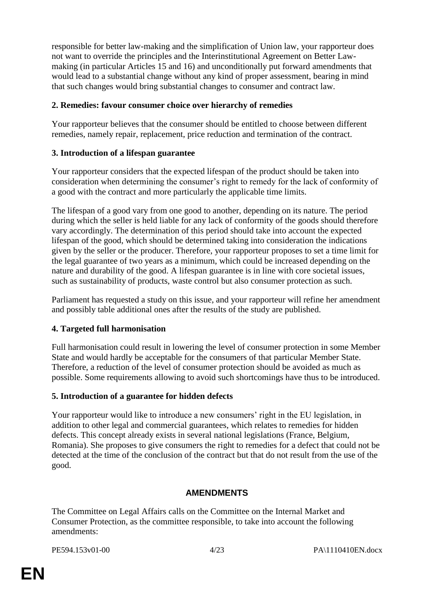responsible for better law-making and the simplification of Union law, your rapporteur does not want to override the principles and the Interinstitutional Agreement on Better Lawmaking (in particular Articles 15 and 16) and unconditionally put forward amendments that would lead to a substantial change without any kind of proper assessment, bearing in mind that such changes would bring substantial changes to consumer and contract law.

# **2. Remedies: favour consumer choice over hierarchy of remedies**

Your rapporteur believes that the consumer should be entitled to choose between different remedies, namely repair, replacement, price reduction and termination of the contract.

# **3. Introduction of a lifespan guarantee**

Your rapporteur considers that the expected lifespan of the product should be taken into consideration when determining the consumer's right to remedy for the lack of conformity of a good with the contract and more particularly the applicable time limits.

The lifespan of a good vary from one good to another, depending on its nature. The period during which the seller is held liable for any lack of conformity of the goods should therefore vary accordingly. The determination of this period should take into account the expected lifespan of the good, which should be determined taking into consideration the indications given by the seller or the producer. Therefore, your rapporteur proposes to set a time limit for the legal guarantee of two years as a minimum, which could be increased depending on the nature and durability of the good. A lifespan guarantee is in line with core societal issues, such as sustainability of products, waste control but also consumer protection as such.

Parliament has requested a study on this issue, and your rapporteur will refine her amendment and possibly table additional ones after the results of the study are published.

# **4. Targeted full harmonisation**

Full harmonisation could result in lowering the level of consumer protection in some Member State and would hardly be acceptable for the consumers of that particular Member State. Therefore, a reduction of the level of consumer protection should be avoided as much as possible. Some requirements allowing to avoid such shortcomings have thus to be introduced.

# **5. Introduction of a guarantee for hidden defects**

Your rapporteur would like to introduce a new consumers' right in the EU legislation, in addition to other legal and commercial guarantees, which relates to remedies for hidden defects. This concept already exists in several national legislations (France, Belgium, Romania). She proposes to give consumers the right to remedies for a defect that could not be detected at the time of the conclusion of the contract but that do not result from the use of the good.

# **AMENDMENTS**

The Committee on Legal Affairs calls on the Committee on the Internal Market and Consumer Protection, as the committee responsible, to take into account the following amendments: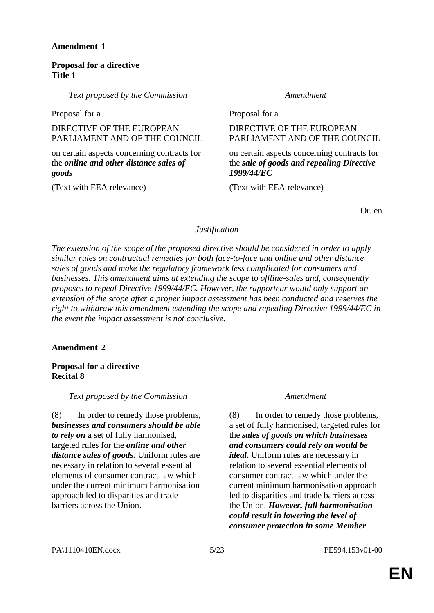# **Proposal for a directive Title 1**

*Text proposed by the Commission Amendment*

Proposal for a Proposal for a Proposal for a Proposal for a Proposal for a Proposal for a Proposal for a Proposal for a  $P$ 

DIRECTIVE OF THE EUROPEAN PARLIAMENT AND OF THE COUNCIL

on certain aspects concerning contracts for the *online and other distance sales of goods*

(Text with EEA relevance) (Text with EEA relevance)

DIRECTIVE OF THE EUROPEAN PARLIAMENT AND OF THE COUNCIL

# on certain aspects concerning contracts for the *sale of goods and repealing Directive 1999/44/EC*

Or. en

# *Justification*

*The extension of the scope of the proposed directive should be considered in order to apply similar rules on contractual remedies for both face-to-face and online and other distance sales of goods and make the regulatory framework less complicated for consumers and businesses. This amendment aims at extending the scope to offline-sales and, consequently proposes to repeal Directive 1999/44/EC. However, the rapporteur would only support an extension of the scope after a proper impact assessment has been conducted and reserves the right to withdraw this amendment extending the scope and repealing Directive 1999/44/EC in the event the impact assessment is not conclusive.*

# **Amendment 2**

# **Proposal for a directive Recital 8**

*Text proposed by the Commission Amendment*

(8) In order to remedy those problems, *businesses and consumers should be able to rely on* a set of fully harmonised, targeted rules for the *online and other distance sales of goods*. Uniform rules are necessary in relation to several essential elements of consumer contract law which under the current minimum harmonisation approach led to disparities and trade barriers across the Union.

(8) In order to remedy those problems, a set of fully harmonised, targeted rules for the *sales of goods on which businesses and consumers could rely on would be ideal*. Uniform rules are necessary in relation to several essential elements of consumer contract law which under the current minimum harmonisation approach led to disparities and trade barriers across the Union. *However, full harmonisation could result in lowering the level of consumer protection in some Member*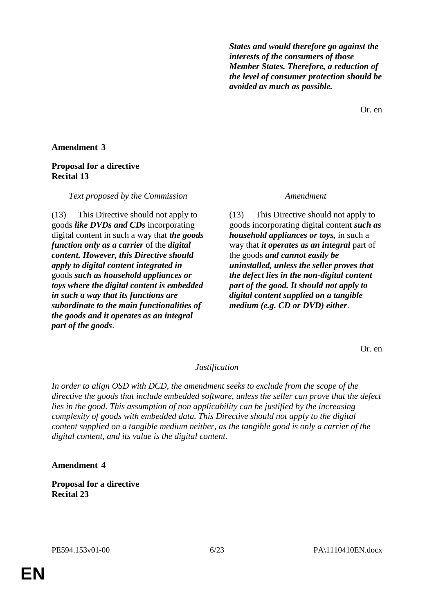*States and would therefore go against the interests of the consumers of those Member States. Therefore, a reduction of the level of consumer protection should be avoided as much as possible.*

Or. en

### **Amendment 3**

### **Proposal for a directive Recital 13**

#### *Text proposed by the Commission Amendment*

(13) This Directive should not apply to goods *like DVDs and CDs* incorporating digital content in such a way that *the goods function only as a carrier* of the *digital content. However, this Directive should apply to digital content integrated in* goods *such as household appliances or toys where the digital content is embedded in such a way that its functions are subordinate to the main functionalities of the goods and it operates as an integral part of the goods*.

(13) This Directive should not apply to goods incorporating digital content *such as household appliances or toys,* in such a way that *it operates as an integral* part of the goods *and cannot easily be uninstalled, unless the seller proves that the defect lies in the non-digital content part of the good. It should not apply to digital content supplied on a tangible medium (e.g. CD or DVD) either*.

Or. en

#### *Justification*

*In order to align OSD with DCD, the amendment seeks to exclude from the scope of the directive the goods that include embedded software, unless the seller can prove that the defect lies in the good. This assumption of non applicability can be justified by the increasing complexity of goods with embedded data. This Directive should not apply to the digital content supplied on a tangible medium neither, as the tangible good is only a carrier of the digital content, and its value is the digital content.*

#### **Amendment 4**

**Proposal for a directive Recital 23**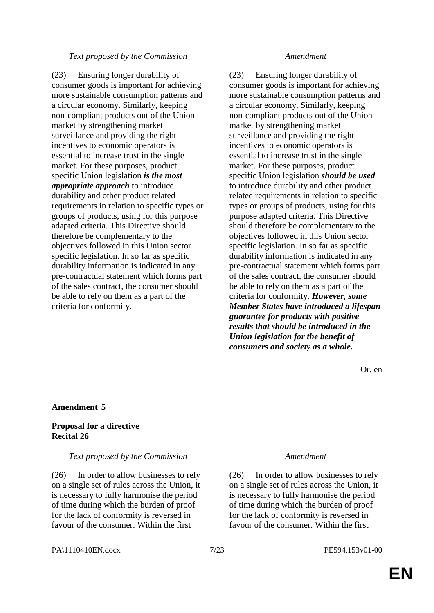#### *Text proposed by the Commission Amendment*

(23) Ensuring longer durability of consumer goods is important for achieving more sustainable consumption patterns and a circular economy. Similarly, keeping non-compliant products out of the Union market by strengthening market surveillance and providing the right incentives to economic operators is essential to increase trust in the single market. For these purposes, product specific Union legislation *is the most appropriate approach* to introduce durability and other product related requirements in relation to specific types or groups of products, using for this purpose adapted criteria. This Directive should therefore be complementary to the objectives followed in this Union sector specific legislation. In so far as specific durability information is indicated in any pre-contractual statement which forms part of the sales contract, the consumer should be able to rely on them as a part of the criteria for conformity.

(23) Ensuring longer durability of consumer goods is important for achieving more sustainable consumption patterns and a circular economy. Similarly, keeping non-compliant products out of the Union market by strengthening market surveillance and providing the right incentives to economic operators is essential to increase trust in the single market. For these purposes, product specific Union legislation *should be used* to introduce durability and other product related requirements in relation to specific types or groups of products, using for this purpose adapted criteria. This Directive should therefore be complementary to the objectives followed in this Union sector specific legislation. In so far as specific durability information is indicated in any pre-contractual statement which forms part of the sales contract, the consumer should be able to rely on them as a part of the criteria for conformity. *However, some Member States have introduced a lifespan guarantee for products with positive results that should be introduced in the Union legislation for the benefit of consumers and society as a whole.* 

Or. en

### **Amendment 5**

### **Proposal for a directive Recital 26**

#### *Text proposed by the Commission Amendment*

(26) In order to allow businesses to rely on a single set of rules across the Union, it is necessary to fully harmonise the period of time during which the burden of proof for the lack of conformity is reversed in favour of the consumer. Within the first

(26) In order to allow businesses to rely on a single set of rules across the Union, it is necessary to fully harmonise the period of time during which the burden of proof for the lack of conformity is reversed in favour of the consumer. Within the first

#### PA\1110410EN.docx 7/23 PE594.153v01-00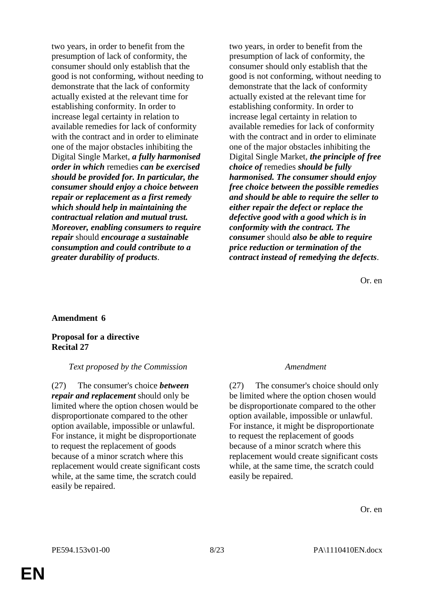two years, in order to benefit from the presumption of lack of conformity, the consumer should only establish that the good is not conforming, without needing to demonstrate that the lack of conformity actually existed at the relevant time for establishing conformity. In order to increase legal certainty in relation to available remedies for lack of conformity with the contract and in order to eliminate one of the major obstacles inhibiting the Digital Single Market, *a fully harmonised order in which* remedies *can be exercised should be provided for. In particular, the consumer should enjoy a choice between repair or replacement as a first remedy which should help in maintaining the contractual relation and mutual trust. Moreover, enabling consumers to require repair* should *encourage a sustainable consumption and could contribute to a greater durability of products*.

two years, in order to benefit from the presumption of lack of conformity, the consumer should only establish that the good is not conforming, without needing to demonstrate that the lack of conformity actually existed at the relevant time for establishing conformity. In order to increase legal certainty in relation to available remedies for lack of conformity with the contract and in order to eliminate one of the major obstacles inhibiting the Digital Single Market, *the principle of free choice of* remedies *should be fully harmonised. The consumer should enjoy free choice between the possible remedies and should be able to require the seller to either repair the defect or replace the defective good with a good which is in conformity with the contract. The consumer* should *also be able to require price reduction or termination of the contract instead of remedying the defects*.

Or. en

#### **Amendment 6**

#### **Proposal for a directive Recital 27**

#### *Text proposed by the Commission Amendment*

(27) The consumer's choice *between repair and replacement* should only be limited where the option chosen would be disproportionate compared to the other option available, impossible or unlawful. For instance, it might be disproportionate to request the replacement of goods because of a minor scratch where this replacement would create significant costs while, at the same time, the scratch could easily be repaired.

(27) The consumer's choice should only be limited where the option chosen would be disproportionate compared to the other option available, impossible or unlawful. For instance, it might be disproportionate to request the replacement of goods because of a minor scratch where this replacement would create significant costs while, at the same time, the scratch could easily be repaired.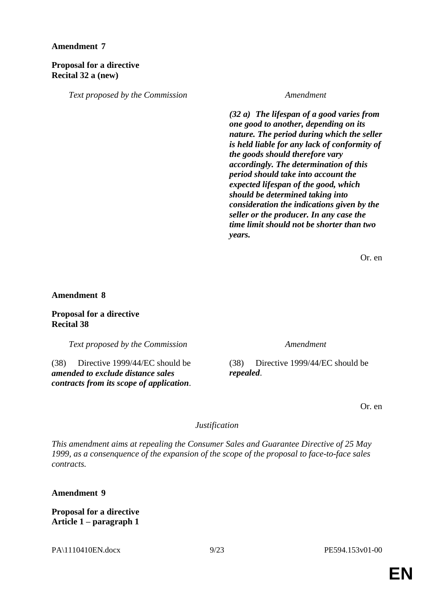### **Proposal for a directive Recital 32 a (new)**

*Text proposed by the Commission Amendment*

*(32 a) The lifespan of a good varies from one good to another, depending on its nature. The period during which the seller is held liable for any lack of conformity of the goods should therefore vary accordingly. The determination of this period should take into account the expected lifespan of the good, which should be determined taking into consideration the indications given by the seller or the producer. In any case the time limit should not be shorter than two years.*

Or. en

**Amendment 8**

**Proposal for a directive Recital 38**

*Text proposed by the Commission Amendment*

(38) Directive 1999/44/EC should be *amended to exclude distance sales contracts from its scope of application*.

(38) Directive 1999/44/EC should be *repealed*.

Or. en

### *Justification*

*This amendment aims at repealing the Consumer Sales and Guarantee Directive of 25 May 1999, as a consenquence of the expansion of the scope of the proposal to face-to-face sales contracts.*

**Amendment 9**

**Proposal for a directive Article 1 – paragraph 1**

PA\1110410EN.docx 9/23 PE594.153v01-00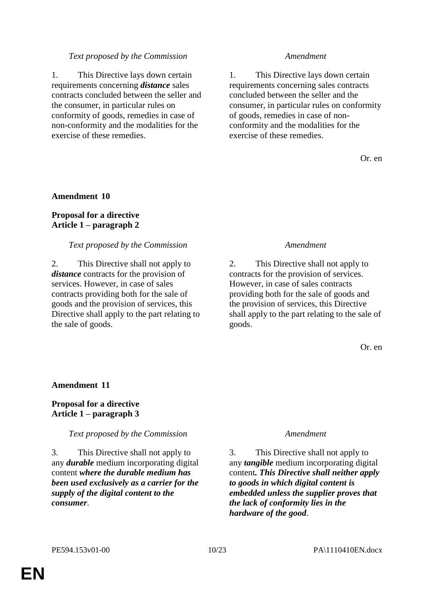### *Text proposed by the Commission Amendment*

1. This Directive lays down certain requirements concerning *distance* sales contracts concluded between the seller and the consumer, in particular rules on conformity of goods, remedies in case of non-conformity and the modalities for the exercise of these remedies.

1. This Directive lays down certain requirements concerning sales contracts concluded between the seller and the consumer, in particular rules on conformity of goods, remedies in case of nonconformity and the modalities for the exercise of these remedies.

Or. en

### **Amendment 10**

### **Proposal for a directive Article 1 – paragraph 2**

### *Text proposed by the Commission Amendment*

2. This Directive shall not apply to *distance* contracts for the provision of services. However, in case of sales contracts providing both for the sale of goods and the provision of services, this Directive shall apply to the part relating to the sale of goods.

2. This Directive shall not apply to contracts for the provision of services. However, in case of sales contracts providing both for the sale of goods and the provision of services, this Directive shall apply to the part relating to the sale of goods.

Or. en

#### **Amendment 11**

### **Proposal for a directive Article 1 – paragraph 3**

#### *Text proposed by the Commission Amendment*

3. This Directive shall not apply to any *durable* medium incorporating digital content *where the durable medium has been used exclusively as a carrier for the supply of the digital content to the consumer*.

3. This Directive shall not apply to any *tangible* medium incorporating digital content*. This Directive shall neither apply to goods in which digital content is embedded unless the supplier proves that the lack of conformity lies in the hardware of the good*.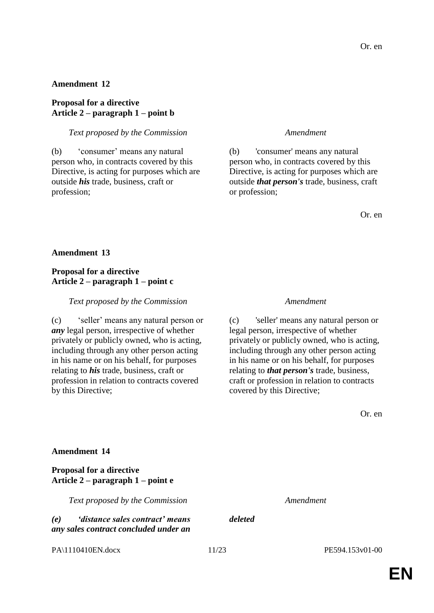### **Proposal for a directive Article 2 – paragraph 1 – point b**

### *Text proposed by the Commission Amendment*

(b) 'consumer' means any natural person who, in contracts covered by this Directive, is acting for purposes which are outside *his* trade, business, craft or profession;

(b) 'consumer' means any natural person who, in contracts covered by this Directive, is acting for purposes which are outside *that person's* trade, business, craft or profession;

Or. en

### **Amendment 13**

### **Proposal for a directive Article 2 – paragraph 1 – point c**

#### *Text proposed by the Commission Amendment*

(c) 'seller' means any natural person or *any* legal person, irrespective of whether privately or publicly owned, who is acting, including through any other person acting in his name or on his behalf, for purposes relating to *his* trade, business, craft or profession in relation to contracts covered by this Directive;

(c) 'seller' means any natural person or legal person, irrespective of whether privately or publicly owned, who is acting, including through any other person acting in his name or on his behalf, for purposes relating to *that person's* trade, business, craft or profession in relation to contracts covered by this Directive;

Or. en

### **Amendment 14**

### **Proposal for a directive Article 2 – paragraph 1 – point e**

*Text proposed by the Commission Amendment*

*(e) 'distance sales contract' means any sales contract concluded under an* 

*deleted*

PA\1110410EN.docx 11/23 PE594.153v01-00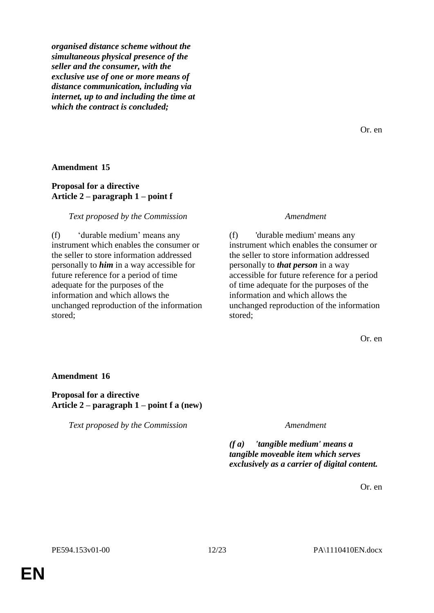*organised distance scheme without the simultaneous physical presence of the seller and the consumer, with the exclusive use of one or more means of distance communication, including via internet, up to and including the time at which the contract is concluded;*

Or. en

#### **Amendment 15**

# **Proposal for a directive Article 2 – paragraph 1 – point f**

#### *Text proposed by the Commission Amendment*

(f) 'durable medium' means any instrument which enables the consumer or the seller to store information addressed personally to *him* in a way accessible for future reference for a period of time adequate for the purposes of the information and which allows the unchanged reproduction of the information stored;

(f) 'durable medium' means any instrument which enables the consumer or the seller to store information addressed personally to *that person* in a way accessible for future reference for a period of time adequate for the purposes of the information and which allows the unchanged reproduction of the information stored;

Or. en

#### **Amendment 16**

#### **Proposal for a directive Article 2 – paragraph 1 – point f a (new)**

*Text proposed by the Commission Amendment*

*(f a) 'tangible medium' means a tangible moveable item which serves exclusively as a carrier of digital content.*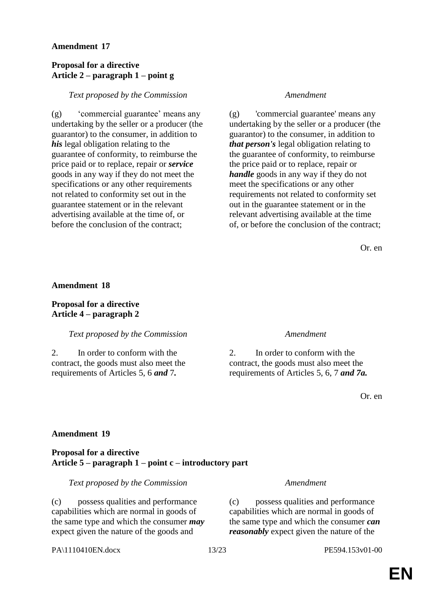### **Proposal for a directive Article 2 – paragraph 1 – point g**

#### *Text proposed by the Commission Amendment*

(g) 'commercial guarantee' means any undertaking by the seller or a producer (the guarantor) to the consumer, in addition to *his* legal obligation relating to the guarantee of conformity, to reimburse the price paid or to replace, repair or *service* goods in any way if they do not meet the specifications or any other requirements not related to conformity set out in the guarantee statement or in the relevant advertising available at the time of, or before the conclusion of the contract;

(g) 'commercial guarantee' means any undertaking by the seller or a producer (the guarantor) to the consumer, in addition to *that person's* legal obligation relating to the guarantee of conformity, to reimburse the price paid or to replace, repair or *handle* goods in any way if they do not meet the specifications or any other requirements not related to conformity set out in the guarantee statement or in the relevant advertising available at the time of, or before the conclusion of the contract;

Or. en

#### **Amendment 18**

#### **Proposal for a directive Article 4 – paragraph 2**

#### *Text proposed by the Commission Amendment*

2. In order to conform with the contract, the goods must also meet the requirements of Articles 5, 6 *and* 7*.*

2. In order to conform with the contract, the goods must also meet the requirements of Articles 5, 6, 7 *and 7a.*

Or. en

### **Amendment 19**

#### **Proposal for a directive Article 5 – paragraph 1 – point c – introductory part**

*Text proposed by the Commission Amendment*

(c) possess qualities and performance capabilities which are normal in goods of the same type and which the consumer *may* expect given the nature of the goods and

(c) possess qualities and performance capabilities which are normal in goods of the same type and which the consumer *can reasonably* expect given the nature of the

PA\1110410EN.docx 13/23 PE594.153v01-00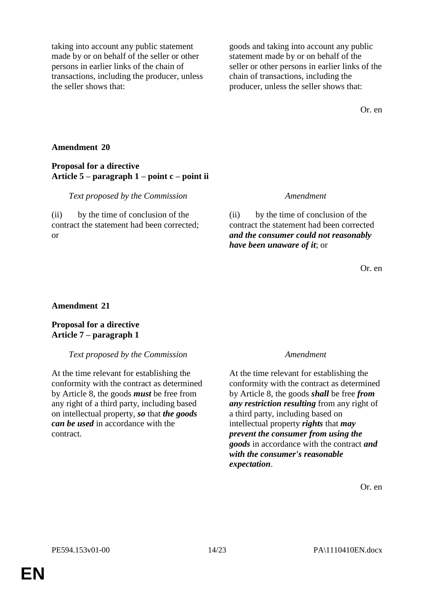taking into account any public statement made by or on behalf of the seller or other persons in earlier links of the chain of transactions, including the producer, unless the seller shows that:

goods and taking into account any public statement made by or on behalf of the seller or other persons in earlier links of the chain of transactions, including the producer, unless the seller shows that:

Or. en

### **Amendment 20**

### **Proposal for a directive Article 5 – paragraph 1 – point c – point ii**

#### *Text proposed by the Commission Amendment*

(ii) by the time of conclusion of the contract the statement had been corrected; or

(ii) by the time of conclusion of the contract the statement had been corrected *and the consumer could not reasonably have been unaware of it*; or

Or. en

#### **Amendment 21**

# **Proposal for a directive Article 7 – paragraph 1**

#### *Text proposed by the Commission Amendment*

At the time relevant for establishing the conformity with the contract as determined by Article 8, the goods *must* be free from any right of a third party, including based on intellectual property, *so* that *the goods can be used* in accordance with the contract.

At the time relevant for establishing the conformity with the contract as determined by Article 8, the goods *shall* be free *from any restriction resulting* from any right of a third party, including based on intellectual property *rights* that *may prevent the consumer from using the goods* in accordance with the contract *and with the consumer's reasonable expectation*.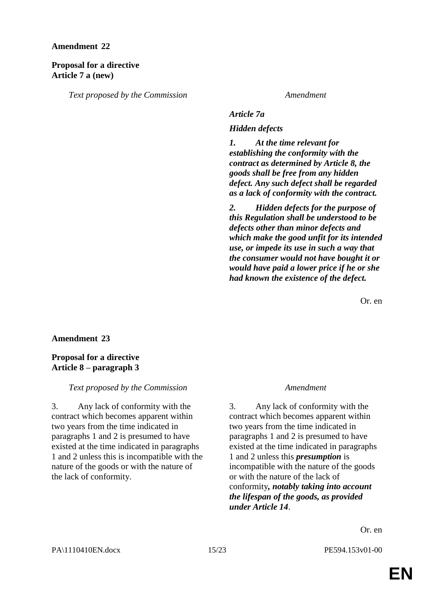#### **Proposal for a directive Article 7 a (new)**

*Text proposed by the Commission Amendment*

*Article 7a*

*Hidden defects* 

*1. At the time relevant for establishing the conformity with the contract as determined by Article 8, the goods shall be free from any hidden defect. Any such defect shall be regarded as a lack of conformity with the contract.* 

*2. Hidden defects for the purpose of this Regulation shall be understood to be defects other than minor defects and which make the good unfit for its intended use, or impede its use in such a way that the consumer would not have bought it or would have paid a lower price if he or she had known the existence of the defect.*

Or. en

#### **Amendment 23**

# **Proposal for a directive Article 8 – paragraph 3**

### *Text proposed by the Commission Amendment*

3. Any lack of conformity with the contract which becomes apparent within two years from the time indicated in paragraphs 1 and 2 is presumed to have existed at the time indicated in paragraphs 1 and 2 unless this is incompatible with the nature of the goods or with the nature of the lack of conformity.

3. Any lack of conformity with the contract which becomes apparent within two years from the time indicated in paragraphs 1 and 2 is presumed to have existed at the time indicated in paragraphs 1 and 2 unless this *presumption* is incompatible with the nature of the goods or with the nature of the lack of conformity*, notably taking into account the lifespan of the goods, as provided under Article 14*.

Or. en

PA\1110410EN.docx 15/23 PE594.153v01-00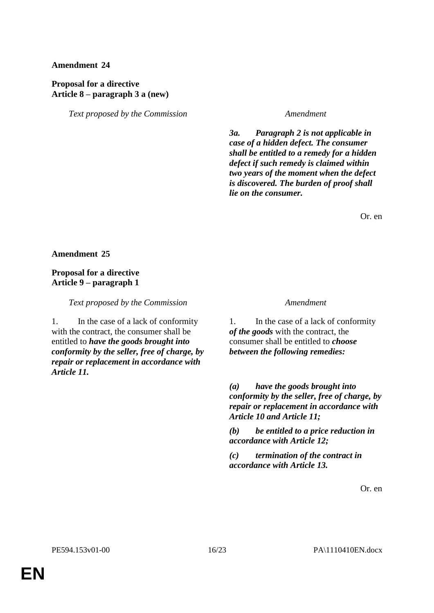# **Proposal for a directive Article 8 – paragraph 3 a (new)**

*Text proposed by the Commission Amendment*

*3a. Paragraph 2 is not applicable in case of a hidden defect. The consumer shall be entitled to a remedy for a hidden defect if such remedy is claimed within two years of the moment when the defect is discovered. The burden of proof shall lie on the consumer.*

Or. en

**Amendment 25**

# **Proposal for a directive Article 9 – paragraph 1**

*Text proposed by the Commission Amendment*

1. In the case of a lack of conformity with the contract, the consumer shall be entitled to *have the goods brought into conformity by the seller, free of charge, by repair or replacement in accordance with Article 11.*

1. In the case of a lack of conformity *of the goods* with the contract, the consumer shall be entitled to *choose between the following remedies:*

*(a) have the goods brought into conformity by the seller, free of charge, by repair or replacement in accordance with Article 10 and Article 11;*

*(b) be entitled to a price reduction in accordance with Article 12;*

*(c) termination of the contract in accordance with Article 13.*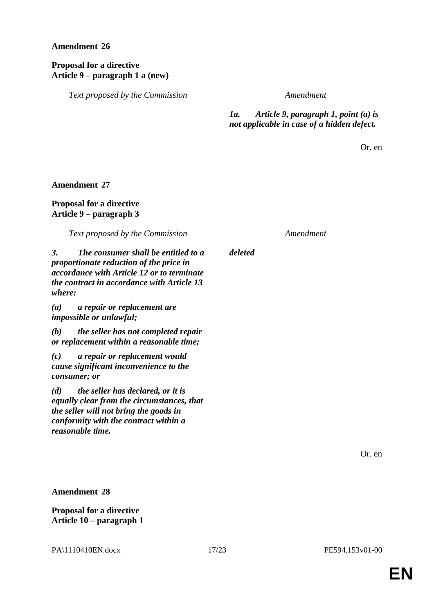# **Proposal for a directive Article 9 – paragraph 1 a (new)**

*Text proposed by the Commission Amendment*

# *1a. Article 9, paragraph 1, point (a) is not applicable in case of a hidden defect.*

Or. en

### **Amendment 27**

# **Proposal for a directive Article 9 – paragraph 3**

*Text proposed by the Commission Amendment*

*deleted*

*3. The consumer shall be entitled to a proportionate reduction of the price in accordance with Article 12 or to terminate the contract in accordance with Article 13 where:*

*(a) a repair or replacement are impossible or unlawful;*

*(b) the seller has not completed repair or replacement within a reasonable time;*

*(c) a repair or replacement would cause significant inconvenience to the consumer; or*

*(d) the seller has declared, or it is equally clear from the circumstances, that the seller will not bring the goods in conformity with the contract within a reasonable time.*

Or. en

**Amendment 28**

**Proposal for a directive Article 10 – paragraph 1**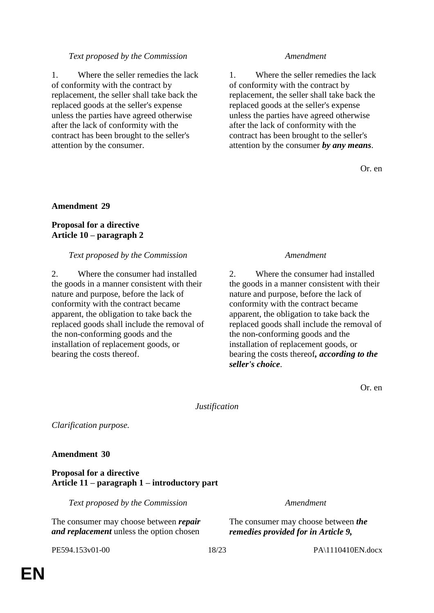### *Text proposed by the Commission Amendment*

1. Where the seller remedies the lack of conformity with the contract by replacement, the seller shall take back the replaced goods at the seller's expense unless the parties have agreed otherwise after the lack of conformity with the contract has been brought to the seller's attention by the consumer.

1. Where the seller remedies the lack of conformity with the contract by replacement, the seller shall take back the replaced goods at the seller's expense unless the parties have agreed otherwise after the lack of conformity with the contract has been brought to the seller's attention by the consumer *by any means*.

Or. en

### **Amendment 29**

### **Proposal for a directive Article 10 – paragraph 2**

#### *Text proposed by the Commission Amendment*

2. Where the consumer had installed the goods in a manner consistent with their nature and purpose, before the lack of conformity with the contract became apparent, the obligation to take back the replaced goods shall include the removal of the non-conforming goods and the installation of replacement goods, or bearing the costs thereof.

2. Where the consumer had installed the goods in a manner consistent with their nature and purpose, before the lack of conformity with the contract became apparent, the obligation to take back the replaced goods shall include the removal of the non-conforming goods and the installation of replacement goods, or bearing the costs thereof*, according to the seller's choice*.

Or. en

*Justification*

*Clarification purpose.*

#### **Amendment 30**

#### **Proposal for a directive Article 11 – paragraph 1 – introductory part**

*Text proposed by the Commission Amendment*

The consumer may choose between *repair and replacement* unless the option chosen

The consumer may choose between *the remedies provided for in Article 9,* 

PE594.153v01-00 18/23 PA\1110410EN.docx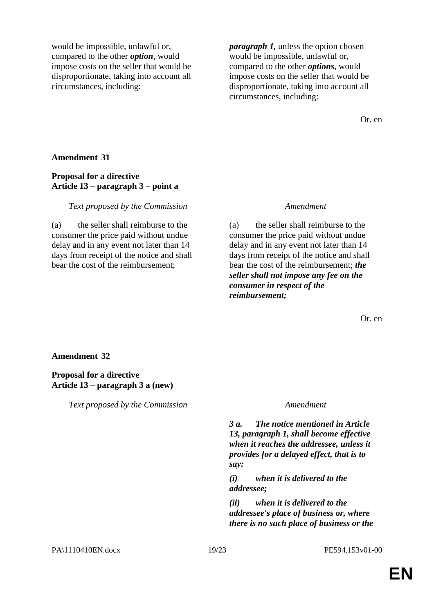would be impossible, unlawful or, compared to the other *option*, would impose costs on the seller that would be disproportionate, taking into account all circumstances, including:

*paragraph 1,* unless the option chosen would be impossible, unlawful or, compared to the other *options*, would impose costs on the seller that would be disproportionate, taking into account all circumstances, including:

Or. en

#### **Amendment 31**

### **Proposal for a directive Article 13 – paragraph 3 – point a**

*Text proposed by the Commission Amendment*

(a) the seller shall reimburse to the consumer the price paid without undue delay and in any event not later than 14 days from receipt of the notice and shall bear the cost of the reimbursement;

(a) the seller shall reimburse to the consumer the price paid without undue delay and in any event not later than 14 days from receipt of the notice and shall bear the cost of the reimbursement; *the seller shall not impose any fee on the consumer in respect of the reimbursement;*

Or. en

#### **Amendment 32**

### **Proposal for a directive Article 13 – paragraph 3 a (new)**

*Text proposed by the Commission Amendment*

*3 a. The notice mentioned in Article 13, paragraph 1, shall become effective when it reaches the addressee, unless it provides for a delayed effect, that is to say:*

*(i) when it is delivered to the addressee;*

*(ii) when it is delivered to the addressee's place of business or, where there is no such place of business or the*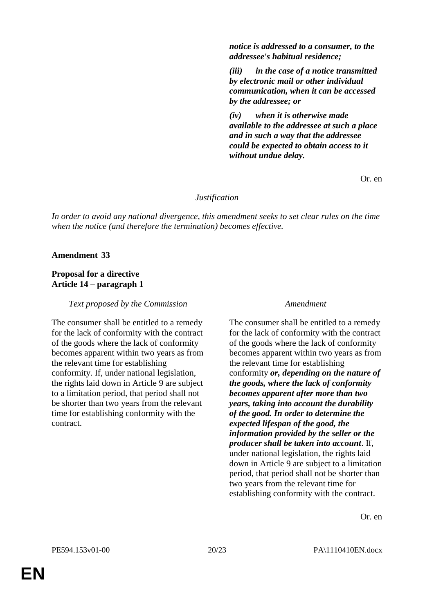*notice is addressed to a consumer, to the addressee's habitual residence;*

*(iii) in the case of a notice transmitted by electronic mail or other individual communication, when it can be accessed by the addressee; or*

*(iv) when it is otherwise made available to the addressee at such a place and in such a way that the addressee could be expected to obtain access to it without undue delay.*

Or. en

#### *Justification*

*In order to avoid any national divergence, this amendment seeks to set clear rules on the time when the notice (and therefore the termination) becomes effective.*

#### **Amendment 33**

# **Proposal for a directive Article 14 – paragraph 1**

*Text proposed by the Commission Amendment*

The consumer shall be entitled to a remedy for the lack of conformity with the contract of the goods where the lack of conformity becomes apparent within two years as from the relevant time for establishing conformity. If, under national legislation, the rights laid down in Article 9 are subject to a limitation period, that period shall not be shorter than two years from the relevant time for establishing conformity with the contract.

The consumer shall be entitled to a remedy for the lack of conformity with the contract of the goods where the lack of conformity becomes apparent within two years as from the relevant time for establishing conformity *or, depending on the nature of the goods, where the lack of conformity becomes apparent after more than two years, taking into account the durability of the good. In order to determine the expected lifespan of the good, the information provided by the seller or the producer shall be taken into account*. If, under national legislation, the rights laid down in Article 9 are subject to a limitation period, that period shall not be shorter than two years from the relevant time for establishing conformity with the contract.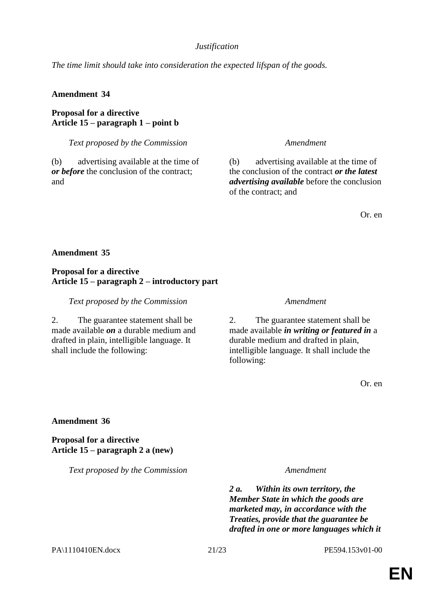# *Justification*

*The time limit should take into consideration the expected lifspan of the goods.*

# **Amendment 34**

**Proposal for a directive Article 15 – paragraph 1 – point b**

*Text proposed by the Commission Amendment*

(b) advertising available at the time of *or before* the conclusion of the contract; and

(b) advertising available at the time of the conclusion of the contract *or the latest advertising available* before the conclusion of the contract; and

Or. en

# **Amendment 35**

# **Proposal for a directive Article 15 – paragraph 2 – introductory part**

*Text proposed by the Commission Amendment*

2. The guarantee statement shall be made available *on* a durable medium and drafted in plain, intelligible language. It shall include the following:

2. The guarantee statement shall be made available *in writing or featured in* a durable medium and drafted in plain, intelligible language. It shall include the following:

Or. en

**Amendment 36**

**Proposal for a directive Article 15 – paragraph 2 a (new)**

*Text proposed by the Commission Amendment*

*2 a. Within its own territory, the Member State in which the goods are marketed may, in accordance with the Treaties, provide that the guarantee be drafted in one or more languages which it* 

PA\1110410EN.docx 21/23 PE594.153v01-00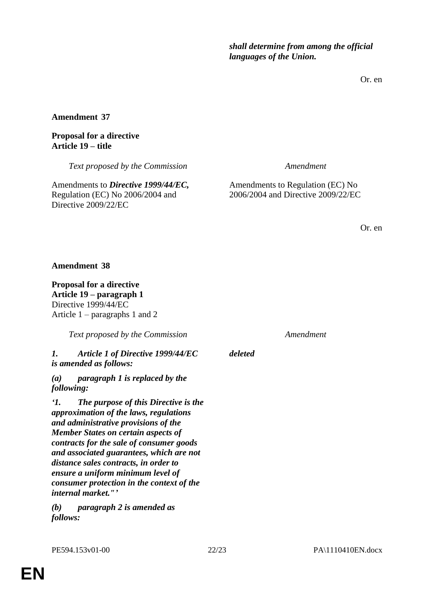*shall determine from among the official languages of the Union.*

Or. en

**Amendment 37**

# **Proposal for a directive Article 19 – title**

*Text proposed by the Commission Amendment*

Amendments to *Directive 1999/44/EC,* Regulation (EC) No 2006/2004 and Directive 2009/22/EC

Amendments to Regulation (EC) No 2006/2004 and Directive 2009/22/EC

Or. en

# **Amendment 38**

**Proposal for a directive Article 19 – paragraph 1** Directive 1999/44/EC Article 1 – paragraphs 1 and 2

*Text proposed by the Commission Amendment*

*1. Article 1 of Directive 1999/44/EC is amended as follows:*

*(a) paragraph 1 is replaced by the following:*

*'1. The purpose of this Directive is the approximation of the laws, regulations and administrative provisions of the Member States on certain aspects of contracts for the sale of consumer goods and associated guarantees, which are not distance sales contracts, in order to ensure a uniform minimum level of consumer protection in the context of the internal market."'*

*(b) paragraph 2 is amended as follows:*

*deleted*